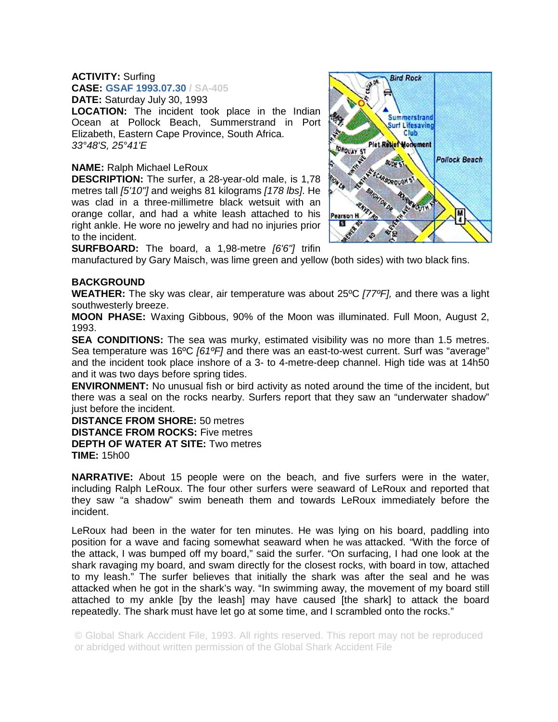## **ACTIVITY:** Surfing

**CASE: GSAF 1993.07.30 / SA-405**

**DATE:** Saturday July 30, 1993

**LOCATION:** The incident took place in the Indian Ocean at Pollock Beach, Summerstrand in Port Elizabeth, Eastern Cape Province, South Africa. *33°48'S, 25°41'E*

## **NAME:** Ralph Michael LeRoux

**DESCRIPTION:** The surfer, a 28-year-old male, is 1,78 metres tall *[5'10"]* and weighs 81 kilograms *[178 lbs]*. He was clad in a three-millimetre black wetsuit with an orange collar, and had a white leash attached to his right ankle. He wore no jewelry and had no injuries prior to the incident.



**SURFBOARD:** The board, a 1,98-metre *[6'6"]* trifin

manufactured by Gary Maisch, was lime green and yellow (both sides) with two black fins.

## **BACKGROUND**

**WEATHER:** The sky was clear, air temperature was about 25ºC *[77ºF],* and there was a light southwesterly breeze.

**MOON PHASE:** Waxing Gibbous, 90% of the Moon was illuminated. Full Moon, August 2, 1993.

**SEA CONDITIONS:** The sea was murky, estimated visibility was no more than 1.5 metres. Sea temperature was 16ºC *[61ºF]* and there was an east-to-west current. Surf was "average" and the incident took place inshore of a 3- to 4-metre-deep channel. High tide was at 14h50 and it was two days before spring tides.

**ENVIRONMENT:** No unusual fish or bird activity as noted around the time of the incident, but there was a seal on the rocks nearby. Surfers report that they saw an "underwater shadow" just before the incident.

**DISTANCE FROM SHORE:** 50 metres **DISTANCE FROM ROCKS:** Five metres **DEPTH OF WATER AT SITE:** Two metres

**TIME:** 15h00

**NARRATIVE:** About 15 people were on the beach, and five surfers were in the water, including Ralph LeRoux. The four other surfers were seaward of LeRoux and reported that they saw "a shadow" swim beneath them and towards LeRoux immediately before the incident.

LeRoux had been in the water for ten minutes. He was lying on his board, paddling into position for a wave and facing somewhat seaward when he was attacked. "With the force of the attack, I was bumped off my board," said the surfer. "On surfacing, I had one look at the shark ravaging my board, and swam directly for the closest rocks, with board in tow, attached to my leash." The surfer believes that initially the shark was after the seal and he was attacked when he got in the shark's way. "In swimming away, the movement of my board still attached to my ankle [by the leash] may have caused [the shark] to attack the board repeatedly. The shark must have let go at some time, and I scrambled onto the rocks."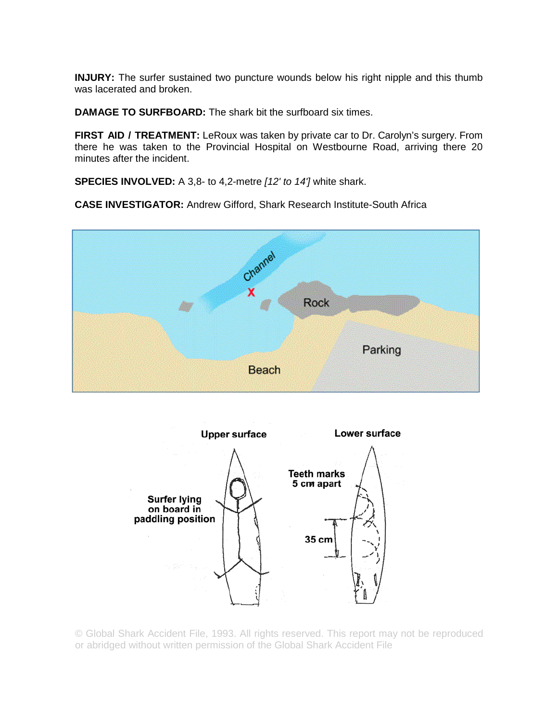**INJURY:** The surfer sustained two puncture wounds below his right nipple and this thumb was lacerated and broken.

**DAMAGE TO SURFBOARD:** The shark bit the surfboard six times.

**FIRST AID / TREATMENT:** LeRoux was taken by private car to Dr. Carolyn's surgery. From there he was taken to the Provincial Hospital on Westbourne Road, arriving there 20 minutes after the incident.

**SPECIES INVOLVED:** A 3,8- to 4,2-metre *[12' to 14']* white shark.

**CASE INVESTIGATOR:** Andrew Gifford, Shark Research Institute-South Africa



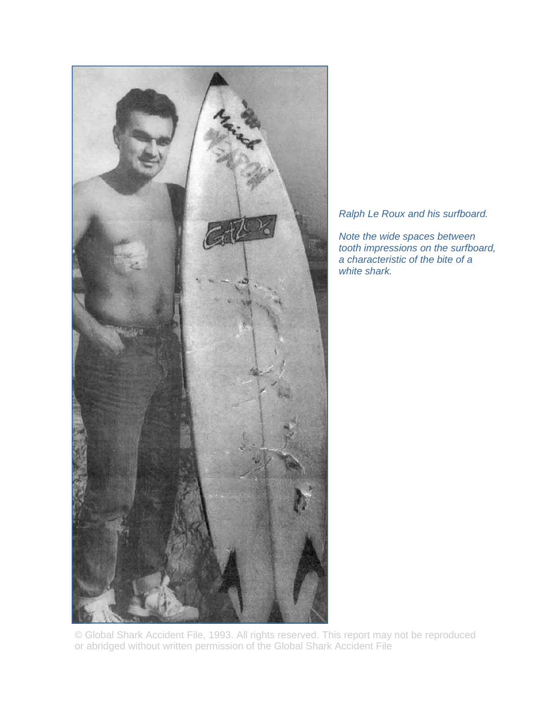

*Ralph Le Roux and his surfboard.* 

*Note the wide spaces between tooth impressions on the surfboard, a characteristic of the bite of a white shark.*